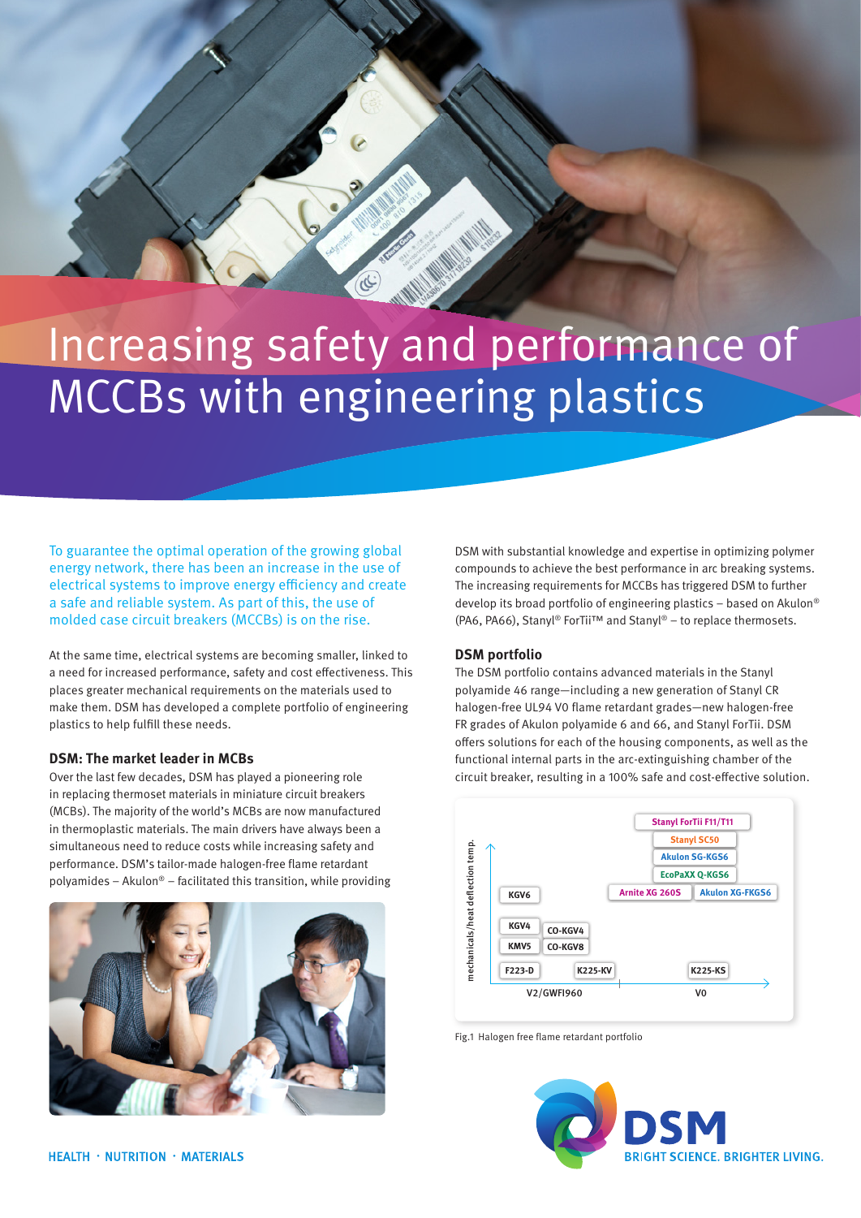# Increasing safety and performance of MCCBs with engineering plastics

To guarantee the optimal operation of the growing global energy network, there has been an increase in the use of electrical systems to improve energy efficiency and create a safe and reliable system. As part of this, the use of molded case circuit breakers (MCCBs) is on the rise.

At the same time, electrical systems are becoming smaller, linked to a need for increased performance, safety and cost effectiveness. This places greater mechanical requirements on the materials used to make them. DSM has developed a complete portfolio of engineering plastics to help fulfill these needs.

### **DSM: The market leader in MCBs**

Over the last few decades, DSM has played a pioneering role in replacing thermoset materials in miniature circuit breakers (MCBs). The majority of the world's MCBs are now manufactured in thermoplastic materials. The main drivers have always been a simultaneous need to reduce costs while increasing safety and performance. DSM's tailor-made halogen-free flame retardant polyamides – Akulon® – facilitated this transition, while providing



DSM with substantial knowledge and expertise in optimizing polymer compounds to achieve the best performance in arc breaking systems. The increasing requirements for MCCBs has triggered DSM to further develop its broad portfolio of engineering plastics – based on Akulon® (PA6, PA66), Stanyl® ForTii™ and Stanyl® – to replace thermosets.

# **DSM portfolio**

The DSM portfolio contains advanced materials in the Stanyl polyamide 46 range—including a new generation of Stanyl CR halogen-free UL94 V0 flame retardant grades—new halogen-free FR grades of Akulon polyamide 6 and 66, and Stanyl ForTii. DSM offers solutions for each of the housing components, as well as the functional internal parts in the arc-extinguishing chamber of the circuit breaker, resulting in a 100% safe and cost-effective solution.



Fig.1 Halogen free flame retardant portfolio

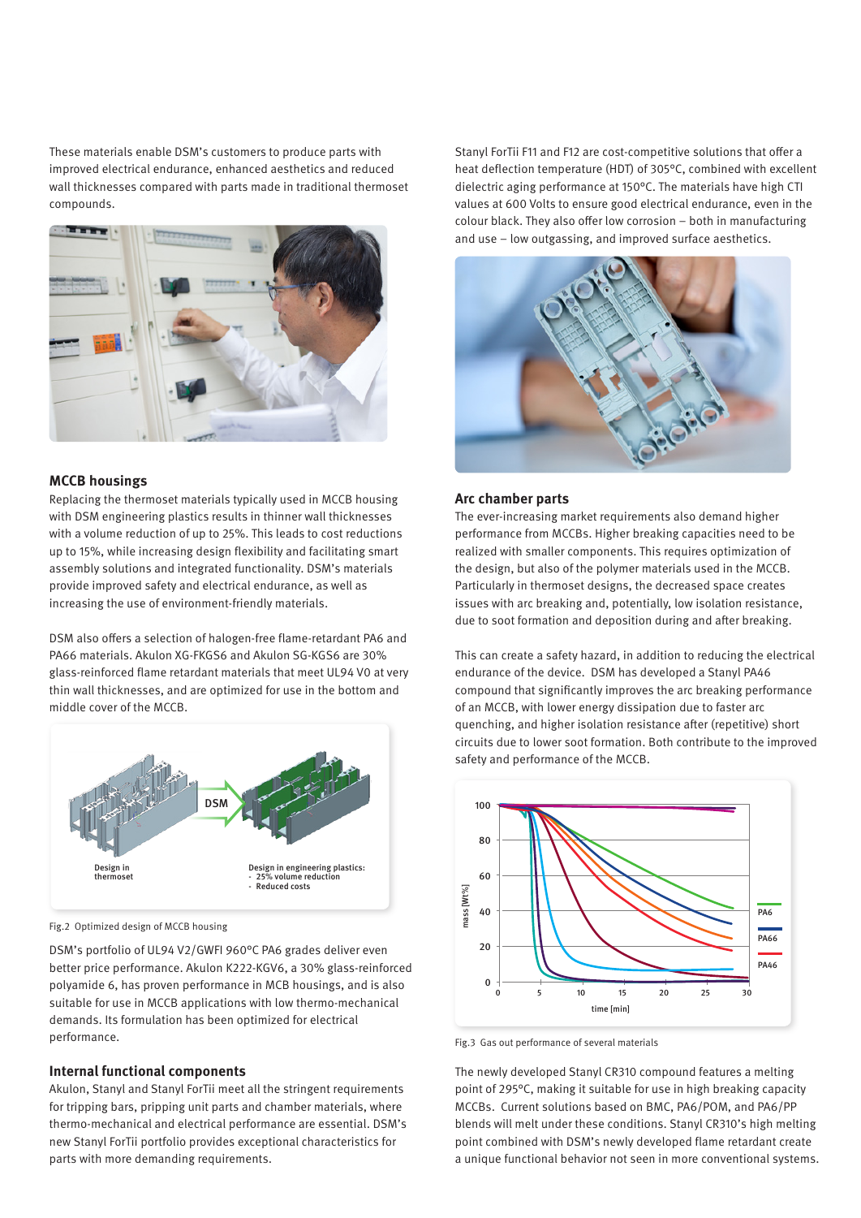These materials enable DSM's customers to produce parts with improved electrical endurance, enhanced aesthetics and reduced wall thicknesses compared with parts made in traditional thermoset compounds.



# **MCCB housings**

Replacing the thermoset materials typically used in MCCB housing with DSM engineering plastics results in thinner wall thicknesses with a volume reduction of up to 25%. This leads to cost reductions up to 15%, while increasing design flexibility and facilitating smart assembly solutions and integrated functionality. DSM's materials provide improved safety and electrical endurance, as well as increasing the use of environment-friendly materials.

DSM also offers a selection of halogen-free flame-retardant PA6 and PA66 materials. Akulon XG-FKGS6 and Akulon SG-KGS6 are 30% glass-reinforced flame retardant materials that meet UL94 V0 at very thin wall thicknesses, and are optimized for use in the bottom and middle cover of the MCCB.



Fig.2 Optimized design of MCCB housing

DSM's portfolio of UL94 V2/GWFI 960°C PA6 grades deliver even better price performance. Akulon K222-KGV6, a 30% glass-reinforced polyamide 6, has proven performance in MCB housings, and is also suitable for use in MCCB applications with low thermo-mechanical demands. Its formulation has been optimized for electrical performance.

### **Internal functional components**

Akulon, Stanyl and Stanyl ForTii meet all the stringent requirements for tripping bars, pripping unit parts and chamber materials, where thermo-mechanical and electrical performance are essential. DSM's new Stanyl ForTii portfolio provides exceptional characteristics for parts with more demanding requirements.

Stanyl ForTii F11 and F12 are cost-competitive solutions that offer a heat deflection temperature (HDT) of 305°C, combined with excellent dielectric aging performance at 150°C. The materials have high CTI values at 600 Volts to ensure good electrical endurance, even in the colour black. They also offer low corrosion – both in manufacturing and use – low outgassing, and improved surface aesthetics.



#### **Arc chamber parts**

The ever-increasing market requirements also demand higher performance from MCCBs. Higher breaking capacities need to be realized with smaller components. This requires optimization of the design, but also of the polymer materials used in the MCCB. Particularly in thermoset designs, the decreased space creates issues with arc breaking and, potentially, low isolation resistance, due to soot formation and deposition during and after breaking.

This can create a safety hazard, in addition to reducing the electrical endurance of the device. DSM has developed a Stanyl PA46 compound that significantly improves the arc breaking performance of an MCCB, with lower energy dissipation due to faster arc quenching, and higher isolation resistance after (repetitive) short circuits due to lower soot formation. Both contribute to the improved safety and performance of the MCCB.



Fig.3 Gas out performance of several materials

The newly developed Stanyl CR310 compound features a melting point of 295°C, making it suitable for use in high breaking capacity MCCBs. Current solutions based on BMC, PA6/POM, and PA6/PP blends will melt under these conditions. Stanyl CR310's high melting point combined with DSM's newly developed flame retardant create a unique functional behavior not seen in more conventional systems.